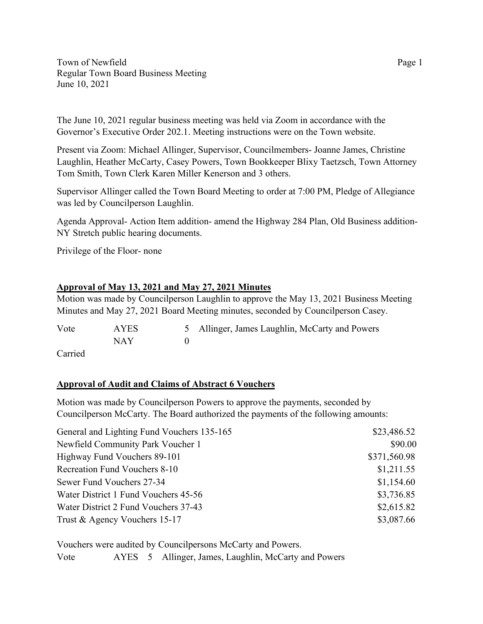Town of Newfield Page 1 Regular Town Board Business Meeting June 10, 2021

The June 10, 2021 regular business meeting was held via Zoom in accordance with the Governor's Executive Order 202.1. Meeting instructions were on the Town website.

Present via Zoom: Michael Allinger, Supervisor, Councilmembers- Joanne James, Christine Laughlin, Heather McCarty, Casey Powers, Town Bookkeeper Blixy Taetzsch, Town Attorney Tom Smith, Town Clerk Karen Miller Kenerson and 3 others.

Supervisor Allinger called the Town Board Meeting to order at 7:00 PM, Pledge of Allegiance was led by Councilperson Laughlin.

Agenda Approval- Action Item addition- amend the Highway 284 Plan, Old Business addition-NY Stretch public hearing documents.

Privilege of the Floor- none

## **Approval of May 13, 2021 and May 27, 2021 Minutes**

Motion was made by Councilperson Laughlin to approve the May 13, 2021 Business Meeting Minutes and May 27, 2021 Board Meeting minutes, seconded by Councilperson Casey.

| Vote | <b>AYES</b> | 5 Allinger, James Laughlin, McCarty and Powers |
|------|-------------|------------------------------------------------|
|      | NAY         |                                                |
| ____ |             |                                                |

Carried

## **Approval of Audit and Claims of Abstract 6 Vouchers**

Motion was made by Councilperson Powers to approve the payments, seconded by Councilperson McCarty. The Board authorized the payments of the following amounts:

| General and Lighting Fund Vouchers 135-165 | \$23,486.52  |
|--------------------------------------------|--------------|
| Newfield Community Park Voucher 1          | \$90.00      |
| Highway Fund Vouchers 89-101               | \$371,560.98 |
| Recreation Fund Vouchers 8-10              | \$1,211.55   |
| Sewer Fund Vouchers 27-34                  | \$1,154.60   |
| Water District 1 Fund Vouchers 45-56       | \$3,736.85   |
| Water District 2 Fund Vouchers 37-43       | \$2,615.82   |
| Trust & Agency Vouchers 15-17              | \$3,087.66   |

Vouchers were audited by Councilpersons McCarty and Powers. Vote AYES 5 Allinger, James, Laughlin, McCarty and Powers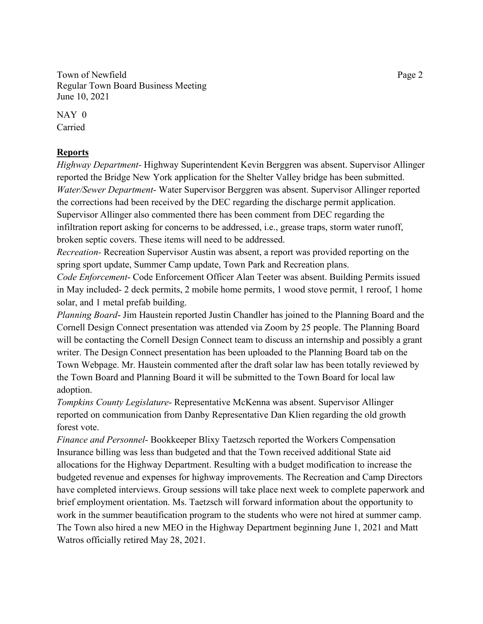Town of Newfield Page 2 Regular Town Board Business Meeting June 10, 2021

NAY 0 Carried

## **Reports**

*Highway Department-* Highway Superintendent Kevin Berggren was absent. Supervisor Allinger reported the Bridge New York application for the Shelter Valley bridge has been submitted. *Water/Sewer Department*- Water Supervisor Berggren was absent. Supervisor Allinger reported the corrections had been received by the DEC regarding the discharge permit application. Supervisor Allinger also commented there has been comment from DEC regarding the infiltration report asking for concerns to be addressed, i.e., grease traps, storm water runoff, broken septic covers. These items will need to be addressed.

*Recreation-* Recreation Supervisor Austin was absent, a report was provided reporting on the spring sport update, Summer Camp update, Town Park and Recreation plans.

*Code Enforcement*- Code Enforcement Officer Alan Teeter was absent. Building Permits issued in May included- 2 deck permits, 2 mobile home permits, 1 wood stove permit, 1 reroof, 1 home solar, and 1 metal prefab building.

*Planning Board*- Jim Haustein reported Justin Chandler has joined to the Planning Board and the Cornell Design Connect presentation was attended via Zoom by 25 people. The Planning Board will be contacting the Cornell Design Connect team to discuss an internship and possibly a grant writer. The Design Connect presentation has been uploaded to the Planning Board tab on the Town Webpage. Mr. Haustein commented after the draft solar law has been totally reviewed by the Town Board and Planning Board it will be submitted to the Town Board for local law adoption.

*Tompkins County Legislature*- Representative McKenna was absent. Supervisor Allinger reported on communication from Danby Representative Dan Klien regarding the old growth forest vote.

*Finance and Personnel*- Bookkeeper Blixy Taetzsch reported the Workers Compensation Insurance billing was less than budgeted and that the Town received additional State aid allocations for the Highway Department. Resulting with a budget modification to increase the budgeted revenue and expenses for highway improvements. The Recreation and Camp Directors have completed interviews. Group sessions will take place next week to complete paperwork and brief employment orientation. Ms. Taetzsch will forward information about the opportunity to work in the summer beautification program to the students who were not hired at summer camp. The Town also hired a new MEO in the Highway Department beginning June 1, 2021 and Matt Watros officially retired May 28, 2021.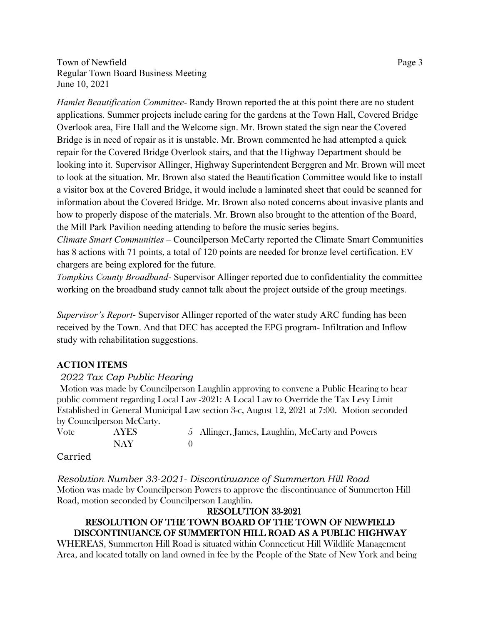Town of Newfield Page 3 Regular Town Board Business Meeting June 10, 2021

*Hamlet Beautification Committee*- Randy Brown reported the at this point there are no student applications. Summer projects include caring for the gardens at the Town Hall, Covered Bridge Overlook area, Fire Hall and the Welcome sign. Mr. Brown stated the sign near the Covered Bridge is in need of repair as it is unstable. Mr. Brown commented he had attempted a quick repair for the Covered Bridge Overlook stairs, and that the Highway Department should be looking into it. Supervisor Allinger, Highway Superintendent Berggren and Mr. Brown will meet to look at the situation. Mr. Brown also stated the Beautification Committee would like to install a visitor box at the Covered Bridge, it would include a laminated sheet that could be scanned for information about the Covered Bridge. Mr. Brown also noted concerns about invasive plants and how to properly dispose of the materials. Mr. Brown also brought to the attention of the Board, the Mill Park Pavilion needing attending to before the music series begins.

*Climate Smart Communities –* Councilperson McCarty reported the Climate Smart Communities has 8 actions with 71 points, a total of 120 points are needed for bronze level certification. EV chargers are being explored for the future.

*Tompkins County Broadband-* Supervisor Allinger reported due to confidentiality the committee working on the broadband study cannot talk about the project outside of the group meetings.

*Supervisor's Report*- Supervisor Allinger reported of the water study ARC funding has been received by the Town. And that DEC has accepted the EPG program- Infiltration and Inflow study with rehabilitation suggestions.

#### **ACTION ITEMS**

#### *2022 Tax Cap Public Hearing*

Motion was made by Councilperson Laughlin approving to convene a Public Hearing to hear public comment regarding Local Law -2021: A Local Law to Override the Tax Levy Limit Established in General Municipal Law section 3-c, August 12, 2021 at 7:00. Motion seconded by Councilperson McCarty.

| Vote | AYES | 5 Allinger, James, Laughlin, McCarty and Powers |
|------|------|-------------------------------------------------|
|      | NAY  |                                                 |

#### Carried

*Resolution Number 33-2021- Discontinuance of Summerton Hill Road* Motion was made by Councilperson Powers to approve the discontinuance of Summerton Hill Road, motion seconded by Councilperson Laughlin.

## RESOLUTION 33-2021 RESOLUTION OF THE TOWN BOARD OF THE TOWN OF NEWFIELD DISCONTINUANCE OF SUMMERTON HILL ROAD AS A PUBLIC HIGHWAY

WHEREAS, Summerton Hill Road is situated within Connecticut Hill Wildlife Management Area, and located totally on land owned in fee by the People of the State of New York and being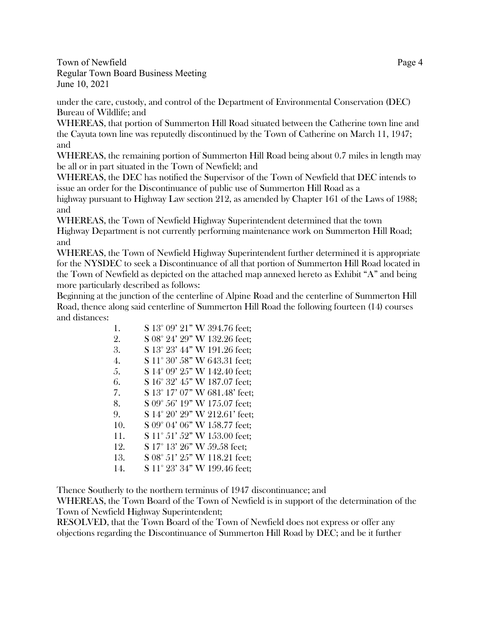Town of Newfield Page 4 Regular Town Board Business Meeting June 10, 2021

under the care, custody, and control of the Department of Environmental Conservation (DEC) Bureau of Wildlife; and

WHEREAS, that portion of Summerton Hill Road situated between the Catherine town line and the Cayuta town line was reputedly discontinued by the Town of Catherine on March 11, 1947; and

WHEREAS, the remaining portion of Summerton Hill Road being about 0.7 miles in length may be all or in part situated in the Town of Newfield; and

WHEREAS, the DEC has notified the Supervisor of the Town of Newfield that DEC intends to issue an order for the Discontinuance of public use of Summerton Hill Road as a

highway pursuant to Highway Law section 212, as amended by Chapter 161 of the Laws of 1988; and

WHEREAS, the Town of Newfield Highway Superintendent determined that the town

Highway Department is not currently performing maintenance work on Summerton Hill Road; and

WHEREAS, the Town of Newfield Highway Superintendent further determined it is appropriate for the NYSDEC to seek a Discontinuance of all that portion of Summerton Hill Road located in the Town of Newfield as depicted on the attached map annexed hereto as Exhibit "A" and being more particularly described as follows:

Beginning at the junction of the centerline of Alpine Road and the centerline of Summerton Hill Road, thence along said centerline of Summerton Hill Road the following fourteen (14) courses and distances:

| 1.  | S 13° 09' 21" W 394.76 feet;  |
|-----|-------------------------------|
| 2.  | S 08° 24' 29" W 132.26 feet;  |
| 3.  | S 13° 23' 44" W 191.26 feet;  |
| 4.  | S 11° 30' 58" W 643.31 feet;  |
| 5.  | S 14° 09' 25" W 142.40 feet;  |
| 6.  | S 16° 32' 45" W 187.07 feet;  |
| 7.  | S 13° 17' 07" W 681.48' feet; |
| 8.  | S 09° 56' 19" W 175.07 feet;  |
| 9.  | S 14° 20' 29" W 212.61' feet; |
| 10. | S 09° 04' 06" W 158.77 feet;  |
| 11. | S 11° 51' 52" W 153.00 feet;  |
| 12. | S 17° 13' 26" W 59.58 feet;   |
| 13. | S 08° 51' 25" W 118.21 feet;  |
| 14. | S 11° 23' 34" W 199.46 feet;  |

Thence Southerly to the northern terminus of 1947 discontinuance; and

WHEREAS, the Town Board of the Town of Newfield is in support of the determination of the Town of Newfield Highway Superintendent;

RESOLVED, that the Town Board of the Town of Newfield does not express or offer any objections regarding the Discontinuance of Summerton Hill Road by DEC; and be it further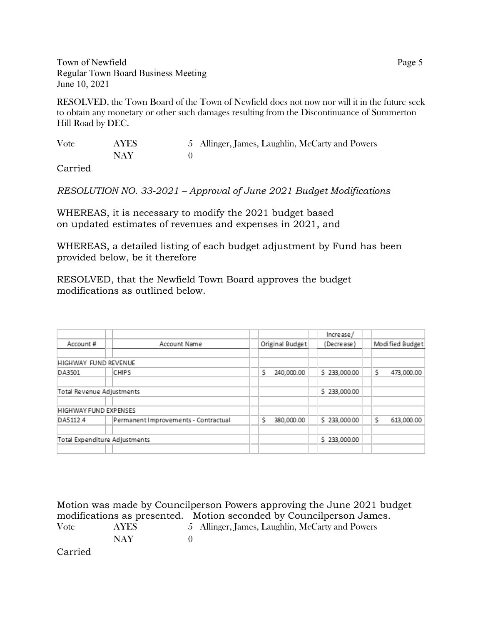Town of Newfield Page 5 Regular Town Board Business Meeting June 10, 2021

RESOLVED, the Town Board of the Town of Newfield does not now nor will it in the future seek to obtain any monetary or other such damages resulting from the Discontinuance of Summerton Hill Road by DEC.

| Vote   | AYES | 5 Allinger, James, Laughlin, McCarty and Powers |
|--------|------|-------------------------------------------------|
|        | NAY  |                                                 |
| $\sim$ |      |                                                 |

Carried

*RESOLUTION NO. 33-2021 – Approval of June 2021 Budget Modifications* 

WHEREAS, it is necessary to modify the 2021 budget based on updated estimates of revenues and expenses in 2021, and

WHEREAS, a detailed listing of each budget adjustment by Fund has been provided below, be it therefore

RESOLVED, that the Newfield Town Board approves the budget modifications as outlined below.

|                               |  |                                      |                 | Increase/    |                 |            |  |
|-------------------------------|--|--------------------------------------|-----------------|--------------|-----------------|------------|--|
| Account#                      |  | Account Name                         | Original Budget | (Decrease)   | Modified Budget |            |  |
|                               |  |                                      |                 |              |                 |            |  |
| HIGHWAY FUND REVENUE          |  |                                      |                 |              |                 |            |  |
| DA3501                        |  | <b>CHIPS</b>                         | Ś<br>240,000.00 | \$233,000.00 | Ś.              | 473,000.00 |  |
| Total Revenue Adjustments     |  |                                      | \$233,000.00    |              |                 |            |  |
| HIGHWAY FUND EXPENSES         |  |                                      |                 |              |                 |            |  |
| DA5112.4                      |  | Permanent Improvements - Contractual | Ś<br>380,000.00 | \$233,000.00 | Ś.              | 613,000.00 |  |
| Total Expenditure Adjustments |  |                                      | \$233,000.00    |              |                 |            |  |

Motion was made by Councilperson Powers approving the June 2021 budget modifications as presented. Motion seconded by Councilperson James. Vote AYES 5 Allinger, James, Laughlin, McCarty and Powers NAY 0 Carried